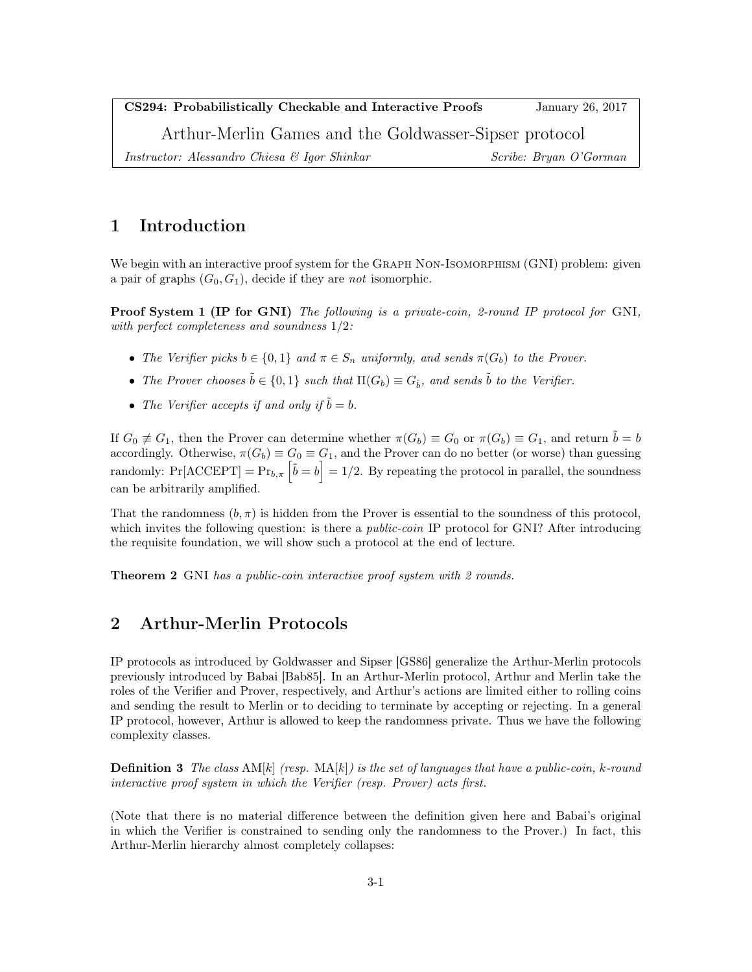CS294: Probabilistically Checkable and Interactive Proofs January 26, 2017

Arthur-Merlin Games and the Goldwasser-Sipser protocol

Instructor: Alessandro Chiesa & Igor Shinkar Scribe: Bryan O'Gorman Scribe: Bryan O'Gorman

# 1 Introduction

We begin with an interactive proof system for the GRAPH NON-ISOMORPHISM (GNI) problem: given a pair of graphs  $(G_0, G_1)$ , decide if they are *not* isomorphic.

Proof System 1 (IP for GNI) The following is a private-coin, 2-round IP protocol for GNI, with perfect completeness and soundness 1/2:

- The Verifier picks  $b \in \{0,1\}$  and  $\pi \in S_n$  uniformly, and sends  $\pi(G_b)$  to the Prover.
- The Prover chooses  $\tilde{b} \in \{0,1\}$  such that  $\Pi(G_b) \equiv G_{\tilde{b}}$ , and sends  $\tilde{b}$  to the Verifier.
- The Verifier accepts if and only if  $\tilde{b} = b$ .

If  $G_0 \neq G_1$ , then the Prover can determine whether  $\pi(G_b) \equiv G_0$  or  $\pi(G_b) \equiv G_1$ , and return  $\tilde{b} = b$ accordingly. Otherwise,  $\pi(G_b) \equiv G_0 \equiv G_1$ , and the Prover can do no better (or worse) than guessing randomly:  $Pr[ACEPT] = Pr_{b,\pi} \left[\tilde{b} = b\right] = 1/2$ . By repeating the protocol in parallel, the soundness can be arbitrarily amplified.

That the randomness  $(b, \pi)$  is hidden from the Prover is essential to the soundness of this protocol, which invites the following question: is there a *public-coin* IP protocol for GNI? After introducing the requisite foundation, we will show such a protocol at the end of lecture.

**Theorem 2** GNI has a public-coin interactive proof system with 2 rounds.

# 2 Arthur-Merlin Protocols

IP protocols as introduced by Goldwasser and Sipser [GS86] generalize the Arthur-Merlin protocols previously introduced by Babai [Bab85]. In an Arthur-Merlin protocol, Arthur and Merlin take the roles of the Verifier and Prover, respectively, and Arthur's actions are limited either to rolling coins and sending the result to Merlin or to deciding to terminate by accepting or rejecting. In a general IP protocol, however, Arthur is allowed to keep the randomness private. Thus we have the following complexity classes.

**Definition 3** The class  $AM[k]$  (resp.  $MA[k]$ ) is the set of languages that have a public-coin, k-round interactive proof system in which the Verifier (resp. Prover) acts first.

(Note that there is no material difference between the definition given here and Babai's original in which the Verifier is constrained to sending only the randomness to the Prover.) In fact, this Arthur-Merlin hierarchy almost completely collapses: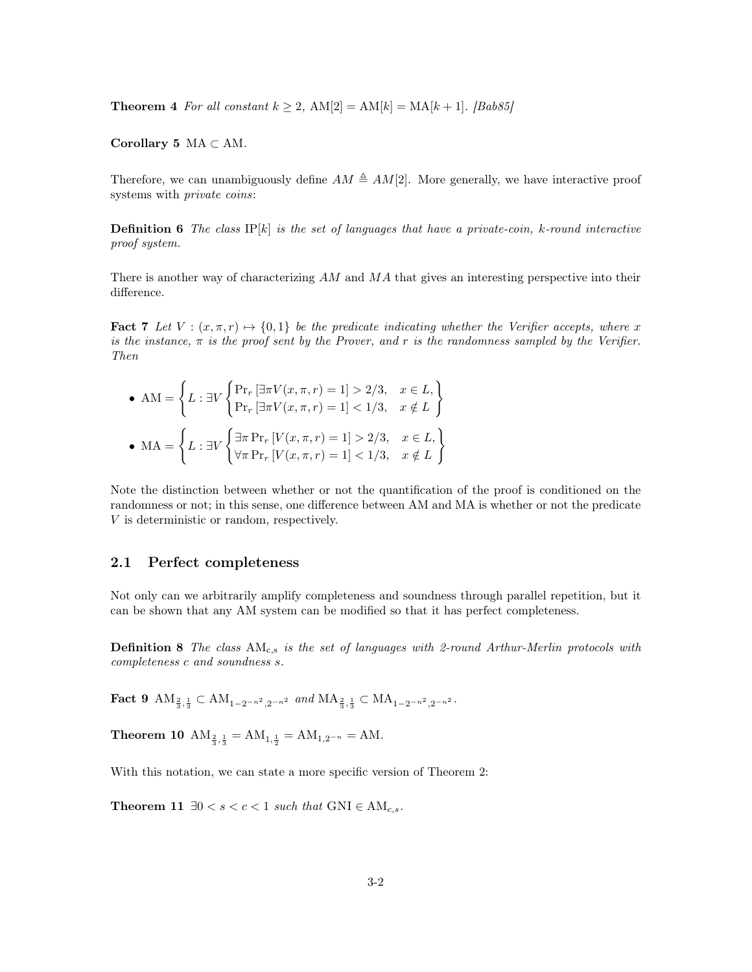**Theorem 4** For all constant  $k \geq 2$ ,  $AM[2] = AM[k] = MA[k+1]$ . [Bab85]

Corollary 5 MA  $\subset$  AM.

Therefore, we can unambiguously define  $AM \triangleq AM[2]$ . More generally, we have interactive proof systems with private coins:

**Definition 6** The class  $IP[k]$  is the set of languages that have a private-coin, k-round interactive proof system.

There is another way of characterizing AM and MA that gives an interesting perspective into their difference.

**Fact 7** Let  $V : (x, \pi, r) \mapsto \{0, 1\}$  be the predicate indicating whether the Verifier accepts, where x is the instance,  $\pi$  is the proof sent by the Prover, and r is the randomness sampled by the Verifier. Then

\n- \n
$$
\mathbf{AM} = \left\{ L : \exists V \begin{cases} \Pr_r \left[ \exists \pi V(x, \pi, r) = 1 \right] > 2/3, \quad x \in L, \\ \Pr_r \left[ \exists \pi V(x, \pi, r) = 1 \right] < 1/3, \quad x \notin L \end{cases} \right\}
$$
\n
\n- \n
$$
\mathbf{MA} = \left\{ L : \exists V \begin{cases} \exists \pi \Pr_r \left[ V(x, \pi, r) = 1 \right] > 2/3, \quad x \in L, \\ \forall \pi \Pr_r \left[ V(x, \pi, r) = 1 \right] < 1/3, \quad x \notin L \end{cases} \right\}
$$
\n
\n

Note the distinction between whether or not the quantification of the proof is conditioned on the randomness or not; in this sense, one difference between AM and MA is whether or not the predicate V is deterministic or random, respectively.

### 2.1 Perfect completeness

Not only can we arbitrarily amplify completeness and soundness through parallel repetition, but it can be shown that any AM system can be modified so that it has perfect completeness.

**Definition 8** The class  $AM_{c,s}$  is the set of languages with 2-round Arthur-Merlin protocols with completeness c and soundness s.

Fact 9  $AM_{\frac{2}{3},\frac{1}{3}} \subset AM_{1-2^{-n^2},2^{-n^2}}$  and  $MA_{\frac{2}{3},\frac{1}{3}} \subset MA_{1-2^{-n^2},2^{-n^2}}$ .

**Theorem 10**  $AM_{\frac{2}{3},\frac{1}{3}} = AM_{1,\frac{1}{2}} = AM_{1,2^{-n}} = AM.$ 

With this notation, we can state a more specific version of Theorem 2:

Theorem 11  $\exists 0 < s < c < 1$  such that  $\text{GNI} \in \text{AM}_{c.s.}$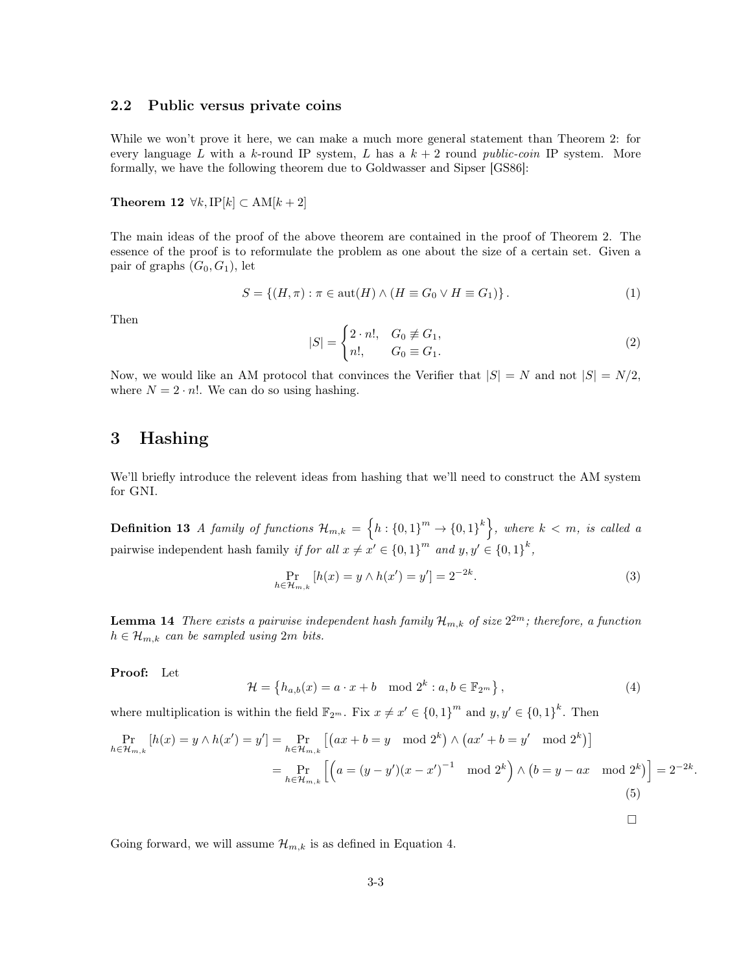#### 2.2 Public versus private coins

While we won't prove it here, we can make a much more general statement than Theorem 2: for every language L with a k-round IP system, L has a  $k + 2$  round public-coin IP system. More formally, we have the following theorem due to Goldwasser and Sipser [GS86]:

## Theorem 12  $\forall k, \text{IP}[k] \subset \text{AM}[k+2]$

The main ideas of the proof of the above theorem are contained in the proof of Theorem 2. The essence of the proof is to reformulate the problem as one about the size of a certain set. Given a pair of graphs  $(G_0, G_1)$ , let

$$
S = \{(H, \pi) : \pi \in \text{aut}(H) \land (H \equiv G_0 \lor H \equiv G_1)\}.
$$
\n
$$
(1)
$$

Then

$$
|S| = \begin{cases} 2 \cdot n!, & G_0 \not\equiv G_1, \\ n!, & G_0 \equiv G_1. \end{cases}
$$
 (2)

Now, we would like an AM protocol that convinces the Verifier that  $|S| = N$  and not  $|S| = N/2$ , where  $N = 2 \cdot n!$ . We can do so using hashing.

## 3 Hashing

We'll briefly introduce the relevent ideas from hashing that we'll need to construct the AM system for GNI.

**Definition 13** A family of functions  $\mathcal{H}_{m,k} = \left\{ h : \{0,1\}^m \to \{0,1\}^k \right\}$ , where  $k < m$ , is called a pairwise independent hash family if for all  $x \neq x' \in \{0,1\}^m$  and  $y, y' \in \{0,1\}^k$ ,

$$
\Pr_{h \in \mathcal{H}_{m,k}} \left[ h(x) = y \wedge h(x') = y' \right] = 2^{-2k}.
$$
 (3)

**Lemma 14** There exists a pairwise independent hash family  $\mathcal{H}_{m,k}$  of size  $2^{2m}$ ; therefore, a function  $h \in \mathcal{H}_{m,k}$  can be sampled using  $2m$  bits.

Proof: Let

$$
\mathcal{H} = \left\{ h_{a,b}(x) = a \cdot x + b \mod 2^k : a, b \in \mathbb{F}_{2^m} \right\},\tag{4}
$$

 $\Box$ 

where multiplication is within the field  $\mathbb{F}_{2^m}$ . Fix  $x \neq x' \in \{0,1\}^m$  and  $y, y' \in \{0,1\}^k$ . Then

$$
\Pr_{h \in \mathcal{H}_{m,k}} [h(x) = y \wedge h(x') = y'] = \Pr_{h \in \mathcal{H}_{m,k}} [(ax + b = y \mod 2^{k}) \wedge (ax' + b = y' \mod 2^{k})]
$$
  
= 
$$
\Pr_{h \in \mathcal{H}_{m,k}} [(a = (y - y')(x - x')^{-1} \mod 2^{k}) \wedge (b = y - ax \mod 2^{k})] = 2^{-2k}.
$$
  
(5)

Going forward, we will assume  $\mathcal{H}_{m,k}$  is as defined in Equation 4.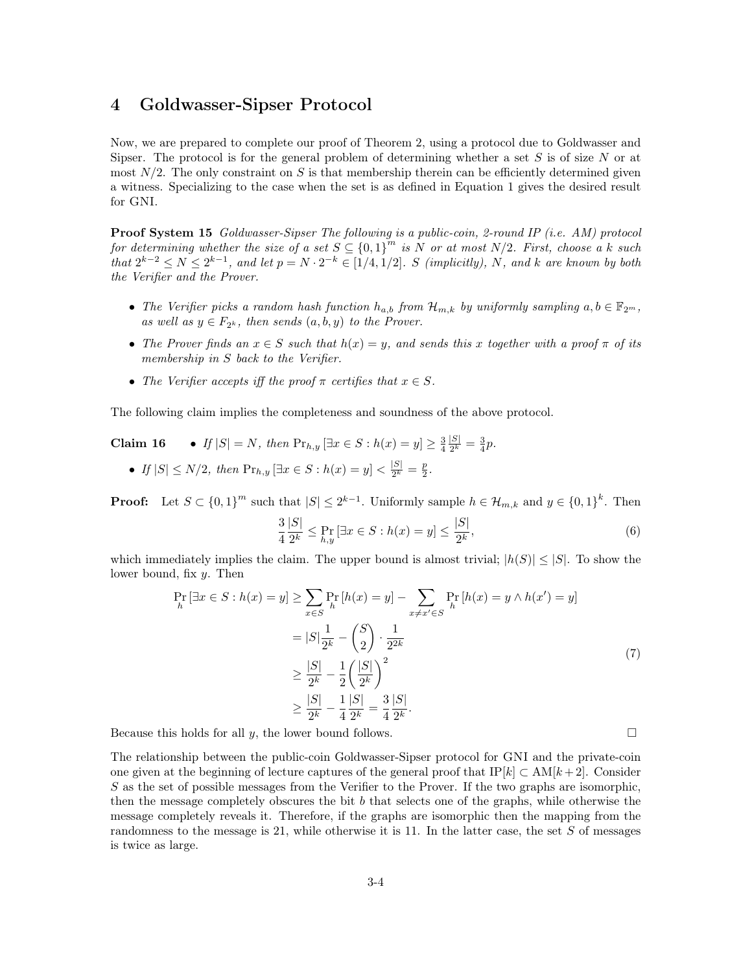## 4 Goldwasser-Sipser Protocol

Now, we are prepared to complete our proof of Theorem 2, using a protocol due to Goldwasser and Sipser. The protocol is for the general problem of determining whether a set S is of size N or at most  $N/2$ . The only constraint on S is that membership therein can be efficiently determined given a witness. Specializing to the case when the set is as defined in Equation 1 gives the desired result for GNI.

Proof System 15 Goldwasser-Sipser The following is a public-coin, 2-round IP (i.e. AM) protocol for determining whether the size of a set  $S \subseteq \{0,1\}^m$  is N or at most N/2. First, choose a k such that  $2^{k-2} \le N \le 2^{k-1}$ , and let  $p = N \cdot 2^{-k} \in [1/4, 1/2]$ . S (implicitly), N, and k are known by both the Verifier and the Prover.

- The Verifier picks a random hash function  $h_{a,b}$  from  $\mathcal{H}_{m,k}$  by uniformly sampling  $a, b \in \mathbb{F}_{2^m}$ , as well as  $y \in F_{2^k}$ , then sends  $(a, b, y)$  to the Prover.
- The Prover finds an  $x \in S$  such that  $h(x) = y$ , and sends this x together with a proof  $\pi$  of its membership in S back to the Verifier.
- The Verifier accepts iff the proof  $\pi$  certifies that  $x \in S$ .

The following claim implies the completeness and soundness of the above protocol.

Claim 16 • If  $|S| = N$ , then  $\Pr_{h,y} [\exists x \in S : h(x) = y] \ge \frac{3}{4}$  $|S|$  $\frac{|S|}{2^k} = \frac{3}{4}p.$ 

• If 
$$
|S| \le N/2
$$
, then  $\Pr_{h,y} [\exists x \in S : h(x) = y] < \frac{|S|}{2^k} = \frac{p}{2}$ .

**Proof:** Let  $S \subset \{0,1\}^m$  such that  $|S| \leq 2^{k-1}$ . Uniformly sample  $h \in \mathcal{H}_{m,k}$  and  $y \in \{0,1\}^k$ . Then

$$
\frac{3}{4} \frac{|S|}{2^k} \le \Pr_{h,y} \left[ \exists x \in S : h(x) = y \right] \le \frac{|S|}{2^k},\tag{6}
$$

which immediately implies the claim. The upper bound is almost trivial;  $|h(S)| \leq |S|$ . To show the lower bound, fix y. Then

$$
\Pr_{h} \left[ \exists x \in S : h(x) = y \right] \ge \sum_{x \in S} \Pr_{h} \left[ h(x) = y \right] - \sum_{x \ne x' \in S} \Pr_{h} \left[ h(x) = y \land h(x') = y \right]
$$
\n
$$
= |S| \frac{1}{2^{k}} - {S \choose 2} \cdot \frac{1}{2^{2k}}
$$
\n
$$
\ge \frac{|S|}{2^{k}} - \frac{1}{2} \left( \frac{|S|}{2^{k}} \right)^{2}
$$
\n
$$
\ge \frac{|S|}{2^{k}} - \frac{1}{4} \frac{|S|}{2^{k}} = \frac{3}{4} \frac{|S|}{2^{k}}.
$$
\n(7)

Because this holds for all y, the lower bound follows.  $\Box$ 

The relationship between the public-coin Goldwasser-Sipser protocol for GNI and the private-coin one given at the beginning of lecture captures of the general proof that  $IP[k] \subset AM[k+2]$ . Consider  $S$  as the set of possible messages from the Verifier to the Prover. If the two graphs are isomorphic, then the message completely obscures the bit b that selects one of the graphs, while otherwise the message completely reveals it. Therefore, if the graphs are isomorphic then the mapping from the randomness to the message is 21, while otherwise it is 11. In the latter case, the set  $S$  of messages is twice as large.